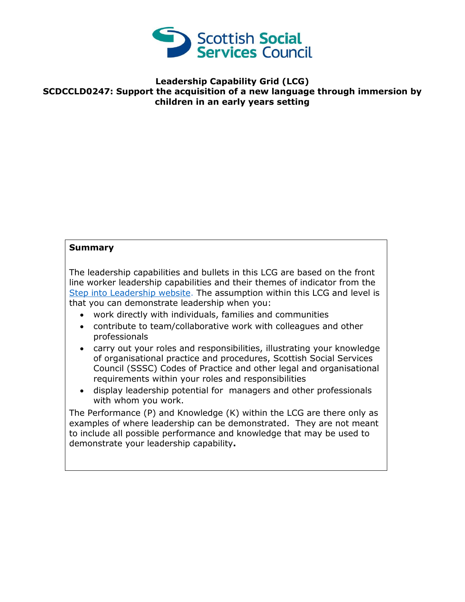

## **Leadership Capability Grid (LCG) SCDCCLD0247: Support the acquisition of a new language through immersion by children in an early years setting**

## **Summary**

The leadership capabilities and bullets in this LCG are based on the front line worker leadership capabilities and their themes of indicator from the [Step into Leadership website.](http://www.stepintoleadership.info/) The assumption within this LCG and level is that you can demonstrate leadership when you:

- work directly with individuals, families and communities
- contribute to team/collaborative work with colleagues and other professionals
- carry out your roles and responsibilities, illustrating your knowledge of organisational practice and procedures, Scottish Social Services Council (SSSC) Codes of Practice and other legal and organisational requirements within your roles and responsibilities
- display leadership potential for managers and other professionals with whom you work.

The Performance (P) and Knowledge (K) within the LCG are there only as examples of where leadership can be demonstrated. They are not meant to include all possible performance and knowledge that may be used to demonstrate your leadership capability**.**